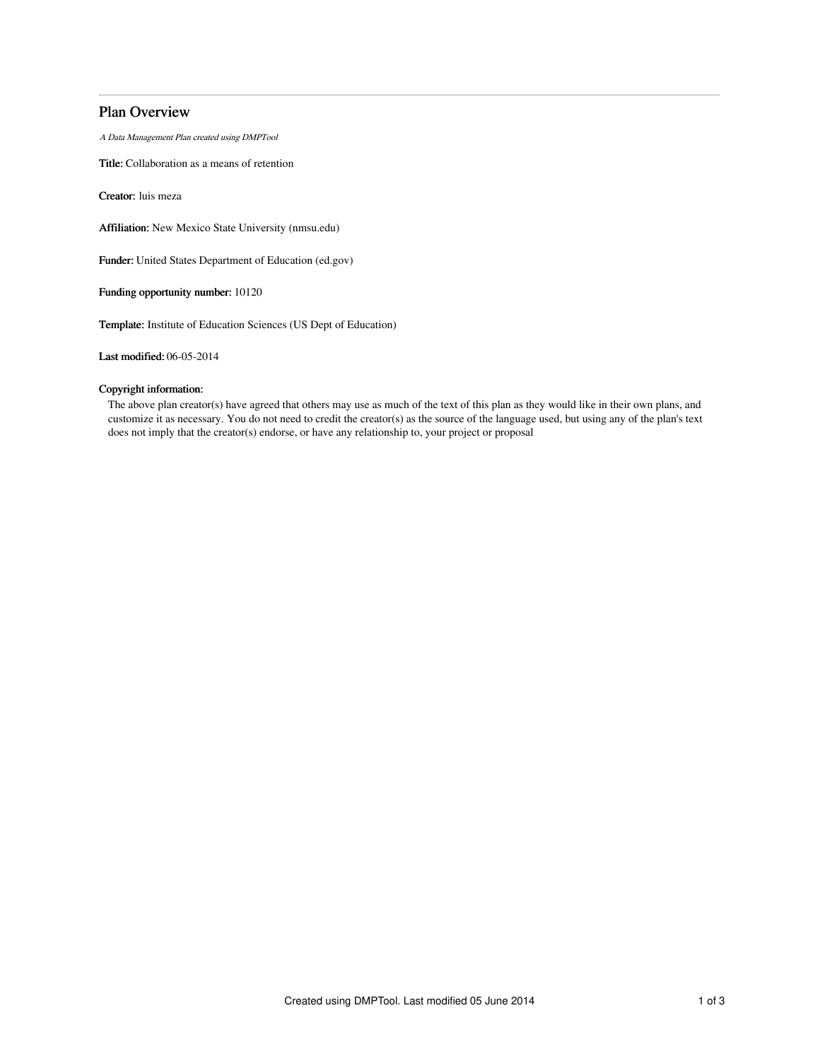# Plan Overview

A Data Management Plan created using DMPTool

Title: Collaboration as a means of retention

Creator: luis meza

Affiliation: New Mexico State University (nmsu.edu)

Funder: United States Department of Education (ed.gov)

Funding opportunity number: 10120

Template: Institute of Education Sciences (US Dept of Education)

Last modified: 06-05-2014

# Copyright information:

The above plan creator(s) have agreed that others may use as much of the text of this plan as they would like in their own plans, and customize it as necessary. You do not need to credit the creator(s) as the source of the language used, but using any of the plan's text does not imply that the creator(s) endorse, or have any relationship to, your project or proposal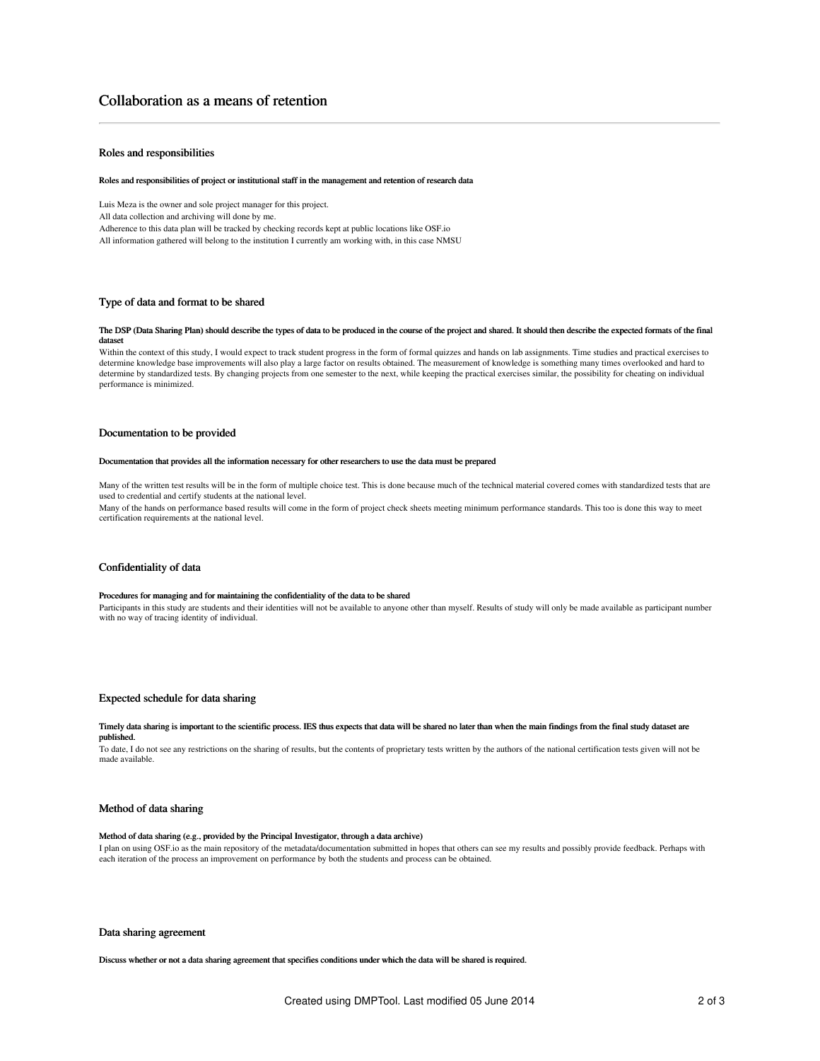# Roles and responsibilities

#### Roles and responsibilities of project or institutional staff in the management and retention of research data

Luis Meza is the owner and sole project manager for this project.

All data collection and archiving will done by me.

Adherence to this data plan will be tracked by checking records kept at public locations like OSF.io

All information gathered will belong to the institution I currently am working with, in this case NMSU

# Type of data and format to be shared

#### The DSP (Data Sharing Plan) should describe the types of data to be produced in the course of the project and shared. It should then describe the expected formats of the final datas

Within the context of this study, I would expect to track student progress in the form of formal quizzes and hands on lab assignments. Time studies and practical exercises to determine knowledge base improvements will also play a large factor on results obtained. The measurement of knowledge is something many times overlooked and hard to determine by standardized tests. By changing projects from one semester to the next, while keeping the practical exercises similar, the possibility for cheating on individual performance is minimized.

### Documentation to be provided

#### Documentation that provides all the information necessary for other researchers to use the data must be prepared

Many of the written test results will be in the form of multiple choice test. This is done because much of the technical material covered comes with standardized tests that are used to credential and certify students at the national level.

Many of the hands on performance based results will come in the form of project check sheets meeting minimum performance standards. This too is done this way to meet certification requirements at the national level.

### Confidentiality of data

# Procedures for managing and for maintaining the confidentiality of the data to be shared

Participants in this study are students and their identities will not be available to anyone other than myself. Results of study will only be made available as participant number with no way of tracing identity of individual.

### Expected schedule for data sharing

#### Timely data sharing is important to the scientific process. IES thus expects that data will be shared no later than when the main findings from the final study dataset are published.

To date, I do not see any restrictions on the sharing of results, but the contents of proprietary tests written by the authors of the national certification tests given will not be made available.

### Method of data sharing

#### Method of data sharing (e.g., provided by the Principal Investigator, through a data archive)

I plan on using OSF.io as the main repository of the metadata/documentation submitted in hopes that others can see my results and possibly provide feedback. Perhaps with each iteration of the process an improvement on performance by both the students and process can be obtained.

#### Data sharing agreement

Discuss whether or not a data sharing agreement that specifies conditions under which the data will be shared is required.